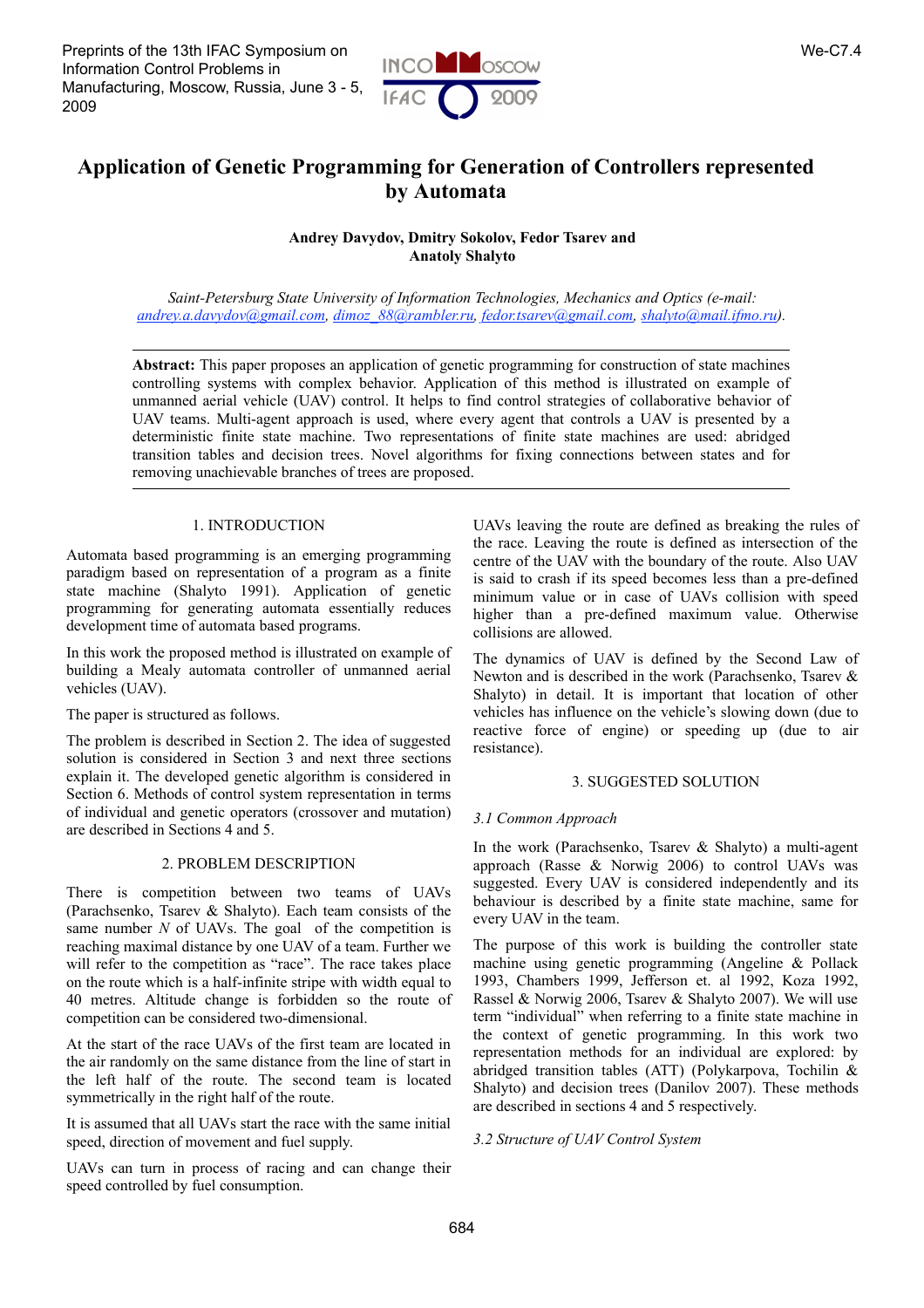Preprints of the 13th IFAC Symposium on Information Control Problems in Manufacturing, Moscow, Russia, June 3 - 5, 2009



# **Application of Genetic Programming for Generation of Controllers represented by Automata**

**Andrey Davydov, Dmitry Sokolov, Fedor Tsarev and Anatoly Shalyto**

*Saint-Petersburg State University of Information Technologies, Mechanics and Optics (e-mail: andrey.a.davydov@gmail.com, dimoz\_88@rambler.ru, fedor.tsarev@gmail.com, shalyto@mail.ifmo.ru).*

**Abstract:** This paper proposes an application of genetic programming for construction of state machines controlling systems with complex behavior. Application of this method is illustrated on example of unmanned aerial vehicle (UAV) control. It helps to find control strategies of collaborative behavior of UAV teams. Multi-agent approach is used, where every agent that controls a UAV is presented by a deterministic finite state machine. Two representations of finite state machines are used: abridged transition tables and decision trees. Novel algorithms for fixing connections between states and for removing unachievable branches of trees are proposed.

# 1. INTRODUCTION

Automata based programming is an emerging programming paradigm based on representation of a program as a finite state machine (Shalyto 1991). Application of genetic programming for generating automata essentially reduces development time of automata based programs.

In this work the proposed method is illustrated on example of building a Mealy automata controller of unmanned aerial vehicles (UAV).

The paper is structured as follows.

The problem is described in Section 2. The idea of suggested solution is considered in Section 3 and next three sections explain it. The developed genetic algorithm is considered in Section 6. Methods of control system representation in terms of individual and genetic operators (crossover and mutation) are described in Sections 4 and 5.

# 2. PROBLEM DESCRIPTION

There is competition between two teams of UAVs (Parachsenko, Tsarev & Shalyto). Each team consists of the same number *N* of UAVs. The goal of the competition is reaching maximal distance by one UAV of a team. Further we will refer to the competition as "race". The race takes place on the route which is a half-infinite stripe with width equal to 40 metres. Altitude change is forbidden so the route of competition can be considered two-dimensional.

At the start of the race UAVs of the first team are located in the air randomly on the same distance from the line of start in the left half of the route. The second team is located symmetrically in the right half of the route.

It is assumed that all UAVs start the race with the same initial speed, direction of movement and fuel supply.

UAVs can turn in process of racing and can change their speed controlled by fuel consumption.

UAVs leaving the route are defined as breaking the rules of the race. Leaving the route is defined as intersection of the centre of the UAV with the boundary of the route. Also UAV is said to crash if its speed becomes less than a pre-defined minimum value or in case of UAVs collision with speed higher than a pre-defined maximum value. Otherwise collisions are allowed.

The dynamics of UAV is defined by the Second Law of Newton and is described in the work (Parachsenko, Tsarev & Shalyto) in detail. It is important that location of other vehicles has influence on the vehicle's slowing down (due to reactive force of engine) or speeding up (due to air resistance).

# 3. SUGGESTED SOLUTION

## *3.1 Common Approach*

In the work (Parachsenko, Tsarev & Shalyto) a multi-agent approach (Rasse & Norwig 2006) to control UAVs was suggested. Every UAV is considered independently and its behaviour is described by a finite state machine, same for every UAV in the team.

The purpose of this work is building the controller state machine using genetic programming (Angeline & Pollack 1993, Chambers 1999, Jefferson et. al 1992, Koza 1992, Rassel & Norwig 2006, Tsarev & Shalyto 2007). We will use term "individual" when referring to a finite state machine in the context of genetic programming. In this work two representation methods for an individual are explored: by abridged transition tables (ATT) (Polykarpova, Tochilin & Shalyto) and decision trees (Danilov 2007). These methods are described in sections 4 and 5 respectively.

## *3.2 Structure of UAV Control System*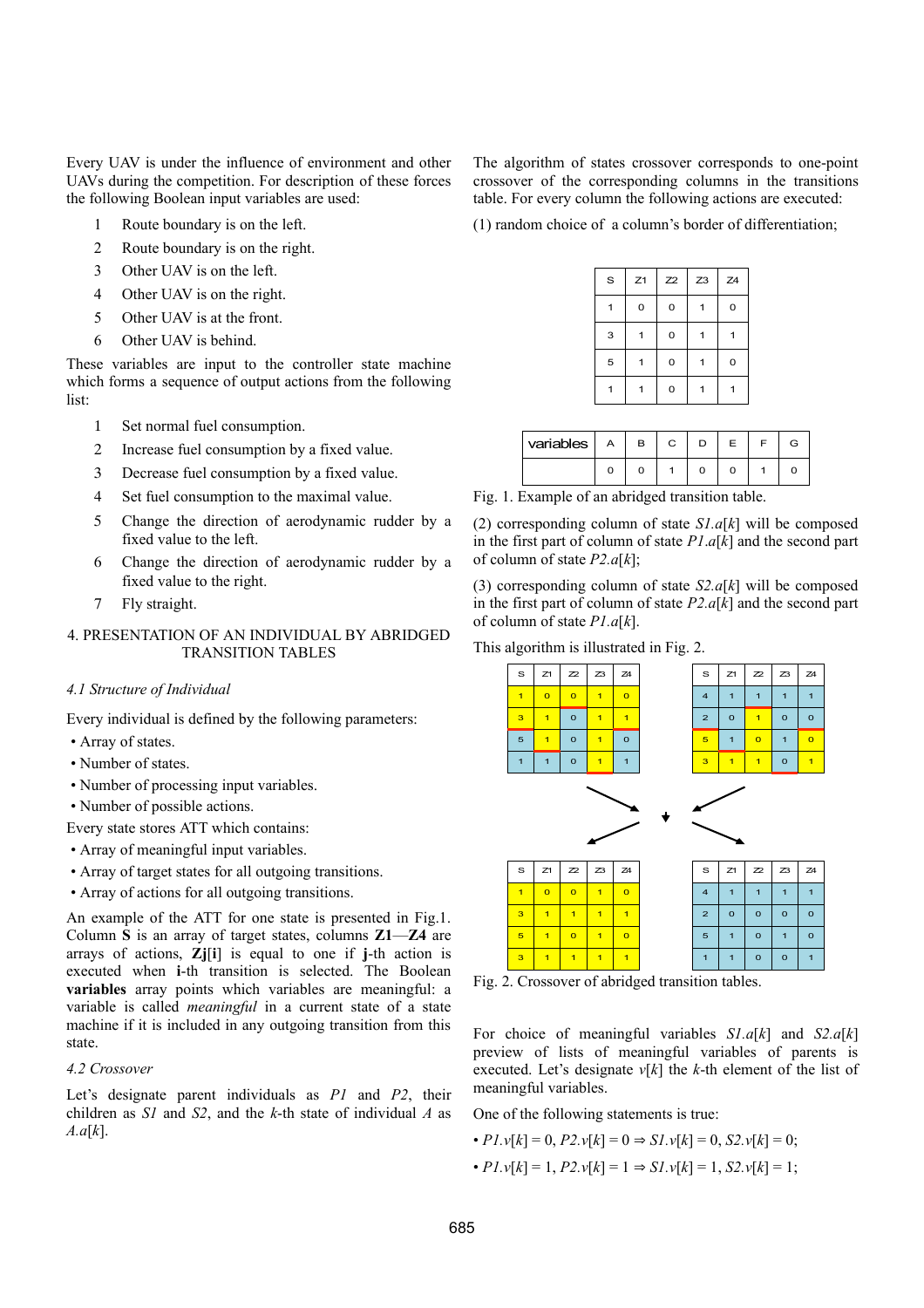Every UAV is under the influence of environment and other UAVs during the competition. For description of these forces the following Boolean input variables are used:

- 1 Route boundary is on the left.
- 2 Route boundary is on the right.
- 3 Other UAV is on the left.
- 4 Other UAV is on the right.
- 5 Other UAV is at the front.
- 6 Other UAV is behind.

These variables are input to the controller state machine which forms a sequence of output actions from the following list:

- 1 Set normal fuel consumption.
- 2 Increase fuel consumption by a fixed value.
- 3 Decrease fuel consumption by a fixed value.
- 4 Set fuel consumption to the maximal value.
- 5 Change the direction of aerodynamic rudder by a fixed value to the left.
- 6 Change the direction of aerodynamic rudder by a fixed value to the right.
- 7 Fly straight.

# 4. PRESENTATION OF AN INDIVIDUAL BY ABRIDGED TRANSITION TABLES

# *4.1 Structure of Individual*

Every individual is defined by the following parameters:

- Array of states.
- Number of states.
- Number of processing input variables.
- Number of possible actions.

Every state stores ATT which contains:

- Array of meaningful input variables.
- Array of target states for all outgoing transitions.
- Array of actions for all outgoing transitions.

An example of the ATT for one state is presented in Fig.1. Column **S** is an array of target states, columns **Z1**—**Z4** are arrays of actions, **Zj**[**i**] is equal to one if **j**-th action is executed when **i**-th transition is selected. The Boolean **variables** array points which variables are meaningful: a variable is called *meaningful* in a current state of a state machine if it is included in any outgoing transition from this state.

### *4.2 Crossover*

Let's designate parent individuals as *P1* and *P2*, their children as *S1* and *S2*, and the *k*-th state of individual *A* as *A.a*[*k*].

The algorithm of states crossover corresponds to one-point crossover of the corresponding columns in the transitions table. For every column the following actions are executed:

(1) random choice of a column's border of differentiation;

| $\mbox{\bf s}$ | Z1 | Z2 | Z <sub>3</sub> | Z <sub>4</sub> |
|----------------|----|----|----------------|----------------|
|                | 0  | 0  |                | 0              |
| 3              |    | 0  |                |                |
| 5              |    | 0  |                | 0              |
| 1              |    | 0  |                |                |

| variables $ $ | <b>A</b> | в | C |  |  |
|---------------|----------|---|---|--|--|
|               |          |   |   |  |  |

Fig. 1. Example of an abridged transition table.

(2) corresponding column of state *S1.a*[*k*] will be composed in the first part of column of state *P1*.*a*[*k*] and the second part of column of state *P2.a*[*k*];

(3) corresponding column of state *S2.a*[*k*] will be composed in the first part of column of state *P2.a*[*k*] and the second part of column of state *P1.a*[*k*].

This algorithm is illustrated in Fig. 2.



Fig. 2. Crossover of abridged transition tables.

For choice of meaningful variables *S1.a*[*k*] and *S2.a*[*k*] preview of lists of meaningful variables of parents is executed. Let's designate  $v[k]$  the *k*-th element of the list of meaningful variables.

One of the following statements is true:

- $P1. v[k] = 0$ ,  $P2. v[k] = 0 \Rightarrow SI. v[k] = 0$ ,  $S2. v[k] = 0$ ;
- $P1 \cdot v[k] = 1, P2 \cdot v[k] = 1 \Rightarrow SI \cdot v[k] = 1, S2 \cdot v[k] = 1;$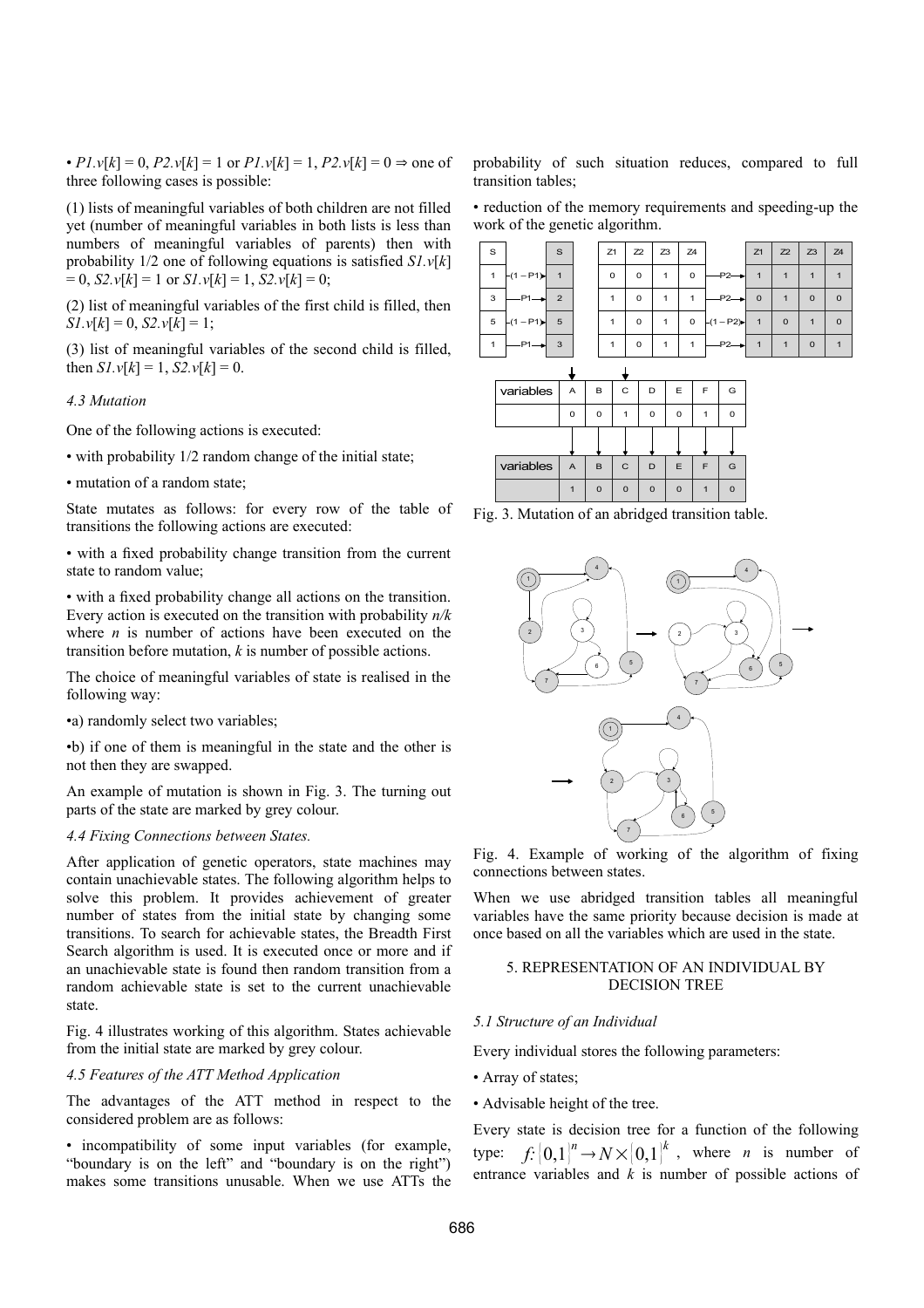•  $P1. v[k] = 0$ ,  $P2. v[k] = 1$  or  $P1. v[k] = 1$ ,  $P2. v[k] = 0 \Rightarrow$  one of three following cases is possible:

(1) lists of meaningful variables of both children are not filled yet (number of meaningful variables in both lists is less than numbers of meaningful variables of parents) then with probability 1/2 one of following equations is satisfied *S1.v*[*k*]  $= 0$ , *S2.v*[ $k$ ] = 1 or *S1.v*[ $k$ ] = 1, *S2.v*[ $k$ ] = 0;

(2) list of meaningful variables of the first child is filled, then  $S1. v[k] = 0$ ,  $S2. v[k] = 1$ ;

(3) list of meaningful variables of the second child is filled, then  $S1 \cdot v[k] = 1$ ,  $S2 \cdot v[k] = 0$ .

# *4.3 Mutation*

One of the following actions is executed:

- with probability 1/2 random change of the initial state;
- mutation of a random state;

State mutates as follows: for every row of the table of transitions the following actions are executed:

• with a fixed probability change transition from the current state to random value;

• with a fixed probability change all actions on the transition. Every action is executed on the transition with probability *n/k* where  $n$  is number of actions have been executed on the transition before mutation, *k* is number of possible actions.

The choice of meaningful variables of state is realised in the following way:

•a) randomly select two variables;

•b) if one of them is meaningful in the state and the other is not then they are swapped.

An example of mutation is shown in Fig. 3. The turning out parts of the state are marked by grey colour.

#### *4.4 Fixing Connections between States.*

After application of genetic operators, state machines may contain unachievable states. The following algorithm helps to solve this problem. It provides achievement of greater number of states from the initial state by changing some transitions. To search for achievable states, the Breadth First Search algorithm is used. It is executed once or more and if an unachievable state is found then random transition from a random achievable state is set to the current unachievable state.

Fig. 4 illustrates working of this algorithm. States achievable from the initial state are marked by grey colour.

# *4.5 Features of the ATT Method Application*

The advantages of the ATT method in respect to the considered problem are as follows:

• incompatibility of some input variables (for example, "boundary is on the left" and "boundary is on the right") makes some transitions unusable. When we use ATTs the probability of such situation reduces, compared to full transition tables;

• reduction of the memory requirements and speeding-up the work of the genetic algorithm.

| S            |                   | <sub>S</sub>   | Z1 | Z2 | Z3 | Z <sub>4</sub> |                   | Z1             | Z2           | $Z3$ $Z4$    |             |
|--------------|-------------------|----------------|----|----|----|----------------|-------------------|----------------|--------------|--------------|-------------|
| $\mathbf{1}$ | $-(1 - P1)$       | $\mathbf{1}$   | 0  | 0  | 1  | $\circ$        | $-P2 \rightarrow$ | $\overline{1}$ |              |              |             |
| 3            | $-P1 \rightarrow$ | $\overline{2}$ |    | 0  | 1  | 1              | $-P2 \rightarrow$ | $\overline{0}$ |              | $\mathbf{0}$ | $\mathbf 0$ |
|              | $5 - (1 - P1)$    | 5 <sub>7</sub> |    | 0  | 1  | $\mathsf 0$    | $-(1-P2)$         | $\overline{1}$ | $\mathbf{0}$ | 1            | $\mathbf 0$ |
|              | $-P1 \rightarrow$ | $\mathbf{3}$   |    | 0  |    |                | $-P2-1$           | $\overline{1}$ |              | $\mathbf{0}$ |             |

| variables | A        | B | C            | D        | E        | F | G |
|-----------|----------|---|--------------|----------|----------|---|---|
|           | $\Omega$ | n |              | $\Omega$ | $\Omega$ |   | O |
|           |          |   |              |          |          |   |   |
| variables | A        | B | $\mathsf{C}$ | D        | E        | F | G |
|           |          |   |              |          |          |   |   |





Fig. 4. Example of working of the algorithm of fixing connections between states.

When we use abridged transition tables all meaningful variables have the same priority because decision is made at once based on all the variables which are used in the state.

### 5. REPRESENTATION OF AN INDIVIDUAL BY DECISION TREE

#### *5.1 Structure of an Individual*

Every individual stores the following parameters:

- Array of states;
- Advisable height of the tree.

Every state is decision tree for a function of the following type:  $f: [0,1]^n \to N \times [0,1]^k$ , where *n* is number of entrance variables and *k* is number of possible actions of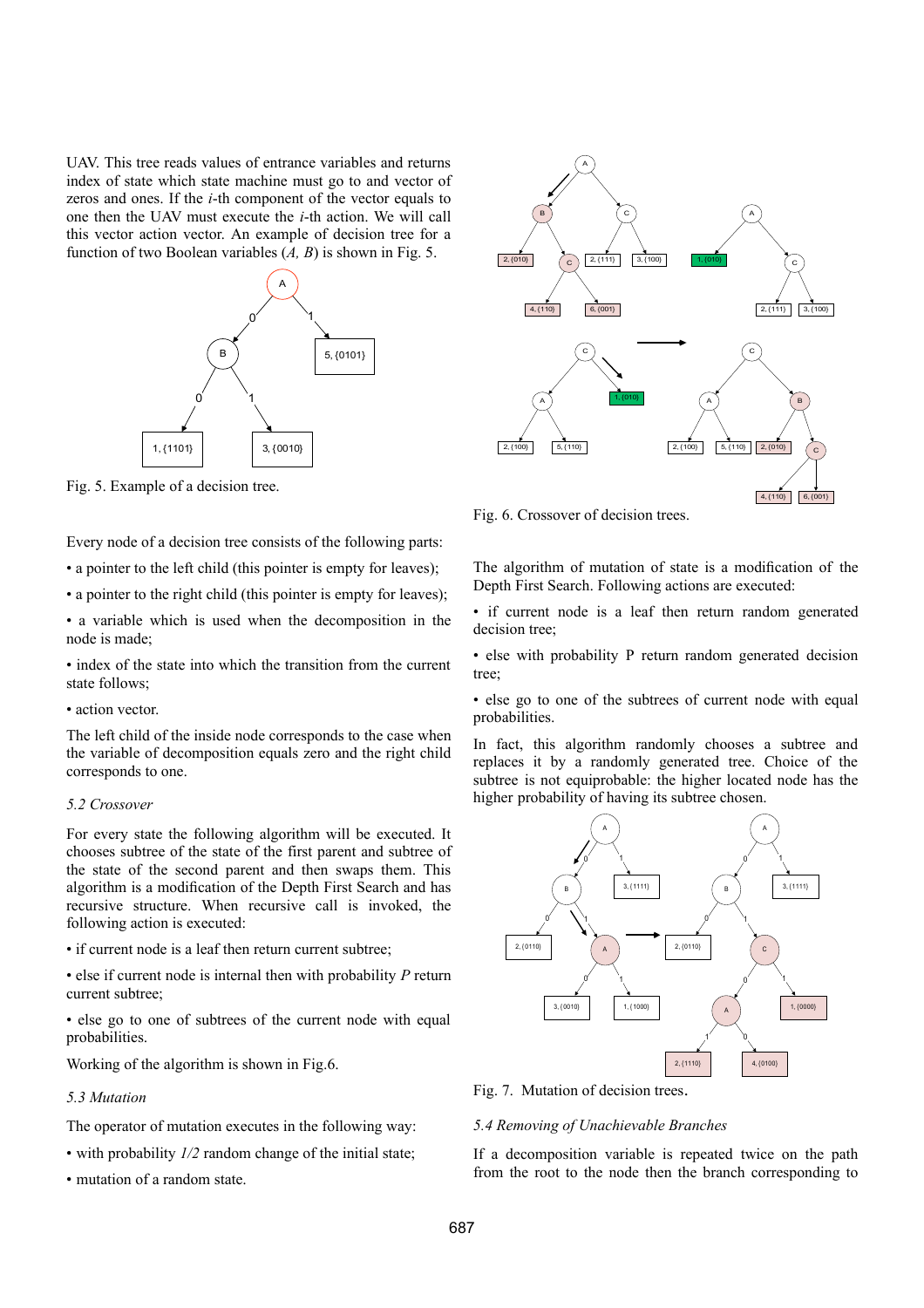UAV. This tree reads values of entrance variables and returns index of state which state machine must go to and vector of zeros and ones. If the *i*-th component of the vector equals to one then the UAV must execute the *i*-th action. We will call this vector action vector. An example of decision tree for a function of two Boolean variables (*A, B*) is shown in Fig. 5.



Fig. 5. Example of a decision tree.

Every node of a decision tree consists of the following parts:

• a pointer to the left child (this pointer is empty for leaves);

• a pointer to the right child (this pointer is empty for leaves);

• a variable which is used when the decomposition in the node is made;

• index of the state into which the transition from the current state follows;

• action vector.

The left child of the inside node corresponds to the case when the variable of decomposition equals zero and the right child corresponds to one.

### *5.2 Crossover*

For every state the following algorithm will be executed. It chooses subtree of the state of the first parent and subtree of the state of the second parent and then swaps them. This algorithm is a modification of the Depth First Search and has recursive structure. When recursive call is invoked, the following action is executed:

• if current node is a leaf then return current subtree;

• else if current node is internal then with probability *P* return current subtree;

• else go to one of subtrees of the current node with equal probabilities.

Working of the algorithm is shown in Fig.6.

### *5.3 Mutation*

The operator of mutation executes in the following way:

- with probability *1/2* random change of the initial state;
- mutation of a random state.



Fig. 6. Crossover of decision trees.

The algorithm of mutation of state is a modification of the Depth First Search. Following actions are executed:

• if current node is a leaf then return random generated decision tree;

• else with probability P return random generated decision tree;

• else go to one of the subtrees of current node with equal probabilities.

In fact, this algorithm randomly chooses a subtree and replaces it by a randomly generated tree. Choice of the subtree is not equiprobable: the higher located node has the higher probability of having its subtree chosen.



Fig. 7. Mutation of decision trees.

### *5.4 Removing of Unachievable Branches*

If a decomposition variable is repeated twice on the path from the root to the node then the branch corresponding to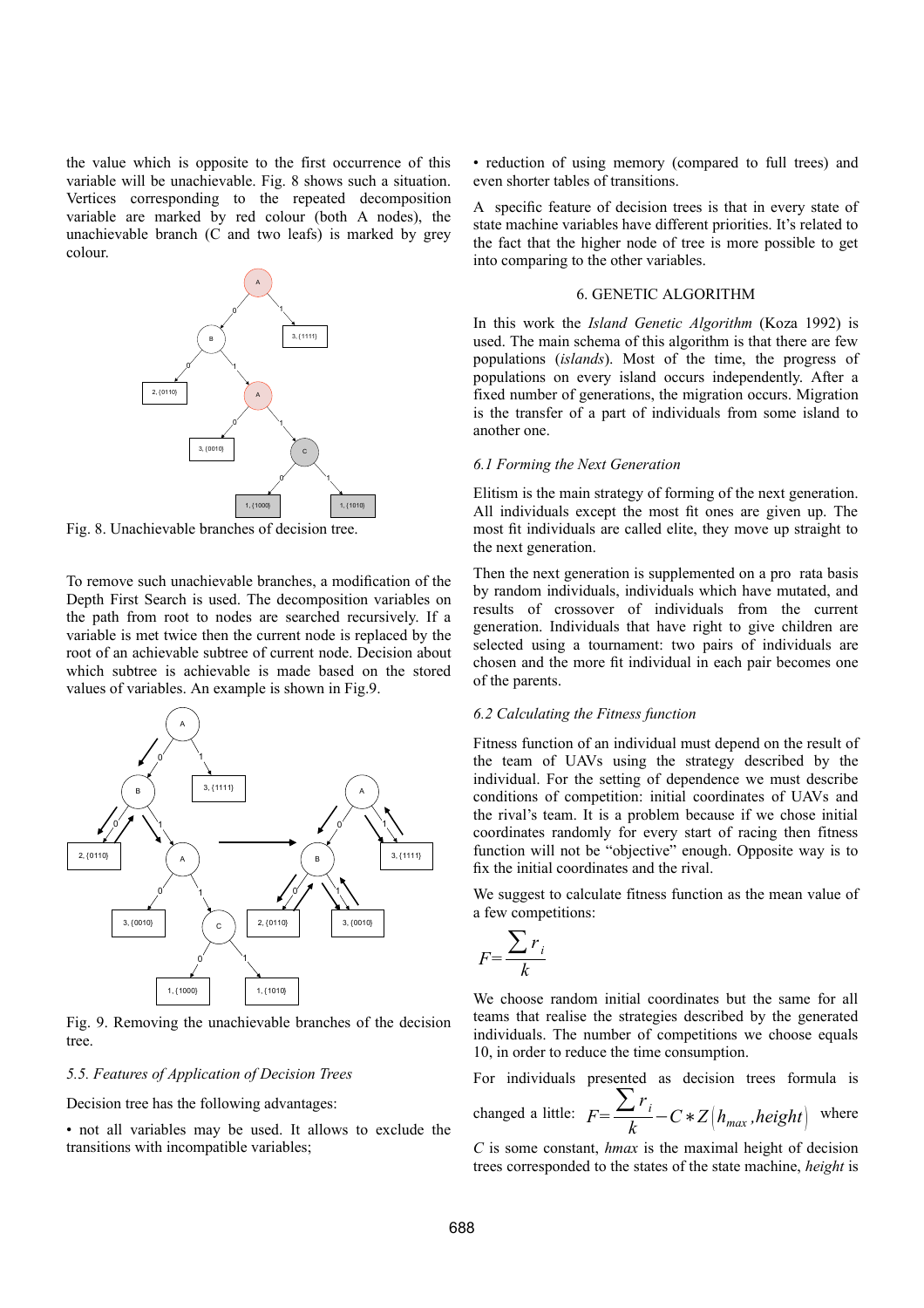the value which is opposite to the first occurrence of this variable will be unachievable. Fig. 8 shows such a situation. Vertices corresponding to the repeated decomposition variable are marked by red colour (both A nodes), the unachievable branch (C and two leafs) is marked by grey colour.



Fig. 8. Unachievable branches of decision tree.

To remove such unachievable branches, a modification of the Depth First Search is used. The decomposition variables on the path from root to nodes are searched recursively. If a variable is met twice then the current node is replaced by the root of an achievable subtree of current node. Decision about which subtree is achievable is made based on the stored values of variables. An example is shown in Fig.9.



Fig. 9. Removing the unachievable branches of the decision tree.

### *5.5. Features of Application of Decision Trees*

Decision tree has the following advantages:

• not all variables may be used. It allows to exclude the transitions with incompatible variables;

• reduction of using memory (compared to full trees) and even shorter tables of transitions.

A specific feature of decision trees is that in every state of state machine variables have different priorities. It's related to the fact that the higher node of tree is more possible to get into comparing to the other variables.

### 6. GENETIC ALGORITHM

In this work the *Island Genetic Algorithm* (Koza 1992) is used. The main schema of this algorithm is that there are few populations (*islands*). Most of the time, the progress of populations on every island occurs independently. After a fixed number of generations, the migration occurs. Migration is the transfer of a part of individuals from some island to another one.

## *6.1 Forming the Next Generation*

Elitism is the main strategy of forming of the next generation. All individuals except the most fit ones are given up. The most fit individuals are called elite, they move up straight to the next generation.

Then the next generation is supplemented on a pro rata basis by random individuals, individuals which have mutated, and results of crossover of individuals from the current generation. Individuals that have right to give children are selected using a tournament: two pairs of individuals are chosen and the more fit individual in each pair becomes one of the parents.

### *6.2 Calculating the Fitness function*

Fitness function of an individual must depend on the result of the team of UAVs using the strategy described by the individual. For the setting of dependence we must describe conditions of competition: initial coordinates of UAVs and the rival's team. It is a problem because if we chose initial coordinates randomly for every start of racing then fitness function will not be "objective" enough. Opposite way is to fix the initial coordinates and the rival.

We suggest to calculate fitness function as the mean value of a few competitions:

$$
F = \frac{\sum r_i}{k}
$$

We choose random initial coordinates but the same for all teams that realise the strategies described by the generated individuals. The number of competitions we choose equals 10, in order to reduce the time consumption.

For individuals presented as decision trees formula is

changed a little:  $F = \frac{\sum r_i}{k} - C * Z \Big( h_{max}, height \Big)$  where

*C* is some constant, *hmax* is the maximal height of decision trees corresponded to the states of the state machine, *height* is